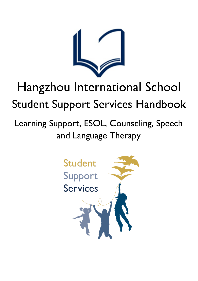

# Hangzhou International School Student Support Services Handbook

# Learning Support, ESOL, Counseling, Speech and Language Therapy

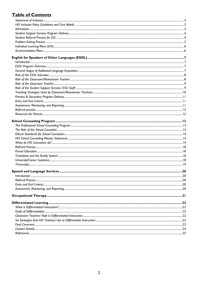# **Table of Contents**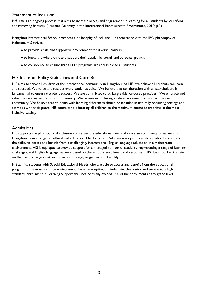## <span id="page-2-0"></span>Statement of Inclusion

*Inclusion* is an ongoing process that aims to increase access and engagement in learning for all students by identifying and removing barriers. (Learning Diversity in the International Baccalaureate Programmes, 2010: p.3)

Hangzhou International School promotes a philosophy of inclusion. In accordance with the IBO philosophy of inclusion, HIS strives:

- to provide a safe and supportive environment for diverse learners.
- to know the whole child and support their academic, social, and personal growth.
- to collaborate to ensure that all HIS programs are accessible to all students.

## <span id="page-2-1"></span>HIS Inclusion Policy Guidelines and Core Beliefs

HIS aims to serve all children of the international community in Hangzhou. At HIS, we believe all students can learn and succeed. We value and respect every student's voice. We believe that collaboration with all stakeholders is fundamental to ensuring student success. We are committed to utilizing evidence-based practices. We embrace and value the diverse nature of our community. We believe in nurturing a safe environment of trust within our community. We believe that students with learning differences should be included in naturally occurring settings and activities with their peers. HIS commits to educating all children to the maximum extent appropriate in the most inclusive setting.

## <span id="page-2-2"></span>Admissions

HIS supports the philosophy of inclusion and serves the educational needs of a diverse community of learners in Hangzhou from a range of cultural and educational backgrounds. Admission is open to students who demonstrate the ability to access and benefit from a challenging, international, English language education in a mainstream environment. HIS is equipped to provide support for a managed number of students, representing a range of learning challenges, and English language learners based on the school's enrollment and resources. HIS does not discriminate on the basis of religion, ethnic or national origin, or gender, or disability.

HIS admits students with Special Educational Needs who are able to access and benefit from the educational program in the most inclusive environment. To ensure optimum student-teacher ratios and service to a high standard, enrollment in Learning Support shall not normally exceed 15% of the enrollment at any grade level.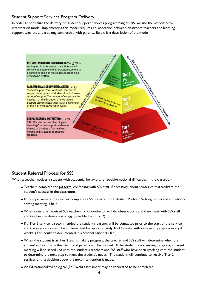## <span id="page-3-0"></span>Student Support Services Program Delivery

In order to formalize the delivery of Student Support Services programming at HIS, we use the response-tointervention model. Implementing this model requires collaboration between classroom teachers and learning support teachers and a strong partnership with parents. Below is a description of the model.



## <span id="page-3-1"></span>Student Referral Process for SSS

When a teacher notices a student with academic, behavioral or social/emotional difficulties in the classroom

- Teachers complete the jot form, conferring with SSS staff, if necessary, about strategies that facilitate the student's success in the classroom.
- If no improvement the teacher completes a SSS referral (SST Student Problem Solving Form) and a problemsolving meeting is held.
- When referral is received SSS teachers or Coordinator will do observations and then meet with SSS staff and teachers to devise a strategy (possible Tier 1 or 2)
- If a Tier 2 service is recommended the student's parents will be contacted prior to the start of the service and the intervention will be implemented for approximately 10-12 weeks with reviews of progress every 4 weeks. (This could be documented in a Student Support Plan.)
- When the student is at Tier 2 and is making progress, the teacher and SSS staff will determine when the student will return to the Tier 1 and parents will be notified. If the student is not making progress, a parent meeting will be scheduled with the student's teachers and SSS staff who have been working with the student to determine the next step to meet the student's needs. The student will continue to receive Tier 2 services until a decision about the next intervention is made.
- An Educational/Psychological (Ed/Psych) assessment may be requested to be completed.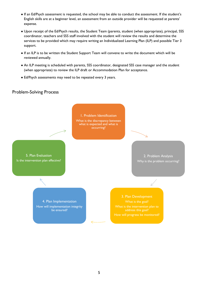- If an Ed/Psych assessment is requested, the school may be able to conduct the assessment. If the student's English skills are at a beginner level, an assessment from an outside provider will be requested at parents' expense.
- Upon receipt of the Ed/Psych results, the Student Team (parents, student (when appropriate), principal, SSS coordinator, teachers and SSS staff involved with the student will review the results and determine the services to be provided which may require writing an Individualized Learning Plan (ILP) and possible Tier 3 support.
- If an ILP is to be written the Student Support Team will convene to write the document which will be reviewed annually.
- An ILP meeting is scheduled with parents, SSS coordinator, designated SSS case manager and the student (when appropriate) to review the ILP draft or Accommodation Plan for acceptance.
- Ed/Psych assessments may need to be repeated every 3 years.

## <span id="page-4-0"></span>Problem-Solving Process

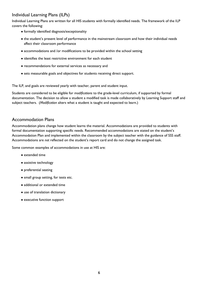## <span id="page-5-0"></span>Individual Learning Plans (ILPs)

Individual Learning Plans are written for all HIS students with formally identified needs. The framework of the ILP covers the following:

- formally identified diagnosis/exceptionality
- the student's present level of performance in the mainstream classroom and how their individual needs affect their classroom performance
- accommodations and /or modifications to be provided within the school setting
- identifies the least restrictive environment for each student
- recommendations for external services as necessary and
- sets measurable goals and objectives for students receiving direct support.

The ILP, and goals are reviewed yearly with teacher, parent and student input.

Students are considered to be eligible for *modifications* to the grade-level curriculum, if supported by formal documentation. The decision to allow a student a modified task is made collaboratively by Learning Support staff and subject teachers. (*Modification* alters what a student is taught and expected to learn.)

## <span id="page-5-1"></span>Accommodation Plans

Accommodation plans change how student learns the material. Accommodations are provided to students with formal documentation supporting specific needs. Recommended accommodations are stated on the student's Accommodation Plan and implemented within the classroom by the subject teacher with the guidance of SSS staff. Accommodations are *not* reflected on the student's report card and do not change the assigned task.

Some common examples of accommodations in use at HIS are:

- extended time
- assistive technology
- preferential seating
- small group setting, for tests etc.
- additional or extended time
- use of translation dictionary
- executive function support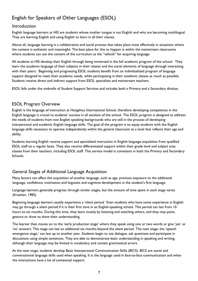# <span id="page-6-0"></span>English for Speakers of Other Languages (ESOL)

## <span id="page-6-1"></span>Introduction

English language learners at HIS are students whose mother tongue is not English and who are becoming multilingual. They are learning English and using English to learn in all their classes.

Above all, language learning is a collaborative and social process that takes place most effectively in situations where the context is authentic and meaningful. The best place for this to happen is within the mainstream classrooms where students can use the content of the curriculum as the "vehicle" for acquiring language.

All students at HIS develop their English through being immersed in the full academic program of the school. They learn the academic language of their subjects in their classes and the social elements of language through interacting with their peers. Beginning and progressing ESOL students benefit from an individualized program of language support designed to meet their academic needs, while participating in their academic classes as much as possible. Students receive direct and indirect support from ESOL specialists and mainstream teachers.

ESOL falls under the umbrella of Student Support Services and includes both a Primary and a Secondary division.

## <span id="page-6-2"></span>ESOL Program Overview

English is the language of instruction at Hangzhou International School, therefore developing competence in the English language is crucial to students' success in all sections of the school. The ESOL program is designed to address the needs of students from non-English speaking backgrounds who are still in the process of developing interpersonal and academic English language skills. The goal of the program is to equip students with the English language skills necessary to operate independently within the general classroom at a level that reflects their age and ability.

Students learning English receive support and specialized instruction in English language acquisition from qualified ESOL staff on a regular basis. They also receive differentiated support within their grade level and subject area classes from their teachers, including ESOL staff. This service model is consistent in both the Primary and Secondary Schools.

## <span id="page-6-3"></span>General Stages of Additional Language Acquisition

Many factors can affect the acquisition of another language, such as age, previous exposure to the additional language, confidence, motivation and linguistic and cognitive development in the student's first language.

Language learners generally progress through similar stages, but the amount of time spent in each stage varies (Krashen, 1983).

Beginning language learners usually experience a 'silent period.' Even students who have some experience in English may go through a silent period if it is their first time in an English-speaking school. This period can last from 10 hours to six months. During this time, they learn mostly by listening and watching others, and they may point, gesture or draw to show their understanding.

The learner then moves on to the 'early production stage' where they speak using one or two words or give 'yes' or 'no' answers. This stage can last an additional six months beyond the silent period. The next stage, the 'speech emergence stage,' can last up to another year. Students begin to use dialogue, ask questions and participate in discussions using simple sentences. They are able to demonstrate basic understanding in speaking and writing, although their language may be limited in vocabulary and contain grammatical errors.

At the next stage, students develop Basic Interpersonal Communication Skills (BICS). BICS are social and conversational language skills used when speaking. It is the language used in face-to-face communication and when the interactions have a lot of contextual support.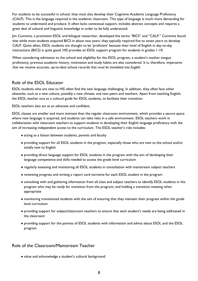For students to be successful in school, they must also develop their Cognitive Academic Language Proficiency (CALP). This is the language required in the academic classroom. This type of language is much more demanding for students to understand and produce. It often lacks contextual support, includes abstract concepts and requires a great deal of cultural and linguistic knowledge in order to be fully understood.

Jim Cummins, a prominent ESOL and bilingual researcher, developed the terms "BICS" and "CALP." Cummins found that while most students acquired BICS in about two years, they typically required five to seven years to develop CALP. Quite often, ESOL students are thought to be 'proficient' because their level of English in day-to-day interactions (BICS) is quite good. HIS provides an ESOL support program for students in grades 1-10.

When considering admission to the school and eligibility for the ESOL program, a student's mother tongue proficiency, previous academic history, motivation and study habits are also considered. It is, therefore, imperative that we receive accurate, up-to-date school records that *must be translated into English.* 

## <span id="page-7-0"></span>Role of the ESOL Educator

ESOL students who are new to HIS often find the new language challenging. In addition, they often face other obstacles, such as a new culture, possibly a new climate, and new peers and teachers. Apart from teaching English, the ESOL teacher acts as a cultural guide for ESOL students, to facilitate their transition.

ESOL teachers also act as an advocate and confidant.

ESOL classes are smaller and more intimate than the regular classroom environment, which provides a secure space where new language is acquired, and students can take risks in a safe environment. ESOL teachers work in collaboration with classroom teachers to support students in developing their English language proficiency with the aim of increasing independent access to the curriculum. The ESOL teacher's role includes:

- acting as a liaison between students, parents and faculty
- providing support for all ESOL students in the program, especially those who are new to the school and/or totally new to English
- providing direct language support for ESOL students in the program with the aim of developing their language competence and skills needed to access the grade level curriculum
- regularly assessing and monitoring all ESOL students in consultation with mainstream subject teachers
- reviewing progress and writing a report card narrative for each ESOL student in the program
- consulting with and gathering information from all class and subject teachers to identify ESOL students in the program who may be ready for transition from the program; and holding a transition meeting when appropriate
- monitoring transitioned students with the aim of ensuring that they maintain their progress within the grade level curriculum
- providing support for subject/classroom teachers to ensure that each student's needs are being addressed in the classroom
- providing support for the parents of ESOL students with information and advice about ESOL and the ESOL program

### <span id="page-7-1"></span>Role of the Classroom/Mainstream Teacher

• value and acknowledge a student's cultural background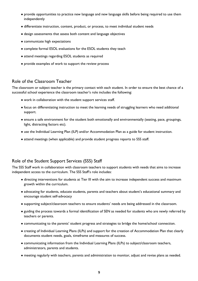- provide opportunities to practice new language and new language skills before being required to use them independently
- differentiate instruction, content, product, or process, to meet individual student needs
- design assessments that assess both content and language objectives
- communicate high expectations
- complete formal ESOL evaluations for the ESOL students they teach
- attend meetings regarding ESOL students as required
- provide examples of work to support the review process

## <span id="page-8-0"></span>Role of the Classroom Teacher

The classroom or subject teacher is the primary contact with each student. In order to ensure the best chance of a successful school experience the classroom teacher's role includes the following:

- work in collaboration with the student support services staff.
- focus on differentiating instruction to meet the learning needs of struggling learners who need additional support.
- ensure a safe environment for the student both emotionally and environmentally (seating, pace, groupings, light, distracting factors etc).
- use the Individual Learning Plan (ILP) and/or Accommodation Plan as a guide for student instruction.
- attend meetings (when applicable) and provide student progress reports to SSS staff.

## <span id="page-8-1"></span>Role of the Student Support Services (SSS) Staff

The SSS Staff work in collaboration with classroom teachers to support students with needs that aims to increase independent access to the curriculum. The SSS Staff's role includes:

- directing interventions for students at Tier III with the aim to increase independent success and maximum growth within the curriculum.
- advocating for students, educate students, parents and teachers about student's educational summary and encourage student self-advocacy
- supporting subject/classroom teachers to ensure students' needs are being addressed in the classroom.
- guiding the process towards a formal identification of SEN as needed for students who are newly referred by teachers or parents.
- communicating to the parents' student progress and strategies to bridge the home/school connection.
- creating of Individual Learning Plans (ILPs) and support for the creation of Accommodation Plan that clearly documents student needs, goals, timeframe and measures of success.
- communicating information from the Individual Learning Plans (ILPs) to subject/classroom teachers, administrators, parents and students.
- meeting regularly with teachers, parents and administration to monitor, adjust and revise plans as needed.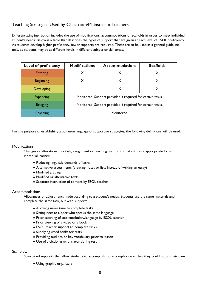## <span id="page-9-0"></span>Teaching Strategies Used by Classroom/Mainstream Teachers

Differentiating instruction includes the use of modifications, accommodations or scaffolds in order to meet individual student's needs. Below is a table that describes the types of support that are given at each level of ESOL proficiency. As students develop higher proficiency, fewer supports are required. These are to be used as a general guideline only, as students may be at different levels in different subject or skill areas.

| <b>Level of proficiency</b> | <b>Modifications</b>                                       | <b>Accommodations</b> | <b>Scaffolds</b> |
|-----------------------------|------------------------------------------------------------|-----------------------|------------------|
| <b>Entering</b>             | X                                                          | X                     | X                |
| <b>Beginning</b>            | Х                                                          | X                     | X                |
| Developing                  |                                                            | X                     | X                |
| <b>Expanding</b>            | Monitored. Support provided if required for certain tasks. |                       |                  |
| <b>Bridging</b>             | Monitored. Support provided if required for certain tasks. |                       |                  |
| Reaching                    | Monitored.                                                 |                       |                  |

For the purpose of establishing a common language of supportive strategies, the following definitions will be used:

#### Modifications:

Changes or alterations to a task, assignment or teaching method to make it more appropriate for an individual learner:

- Reducing linguistic demands of tasks
- Alternative assessments (creating notes or lists instead of writing an essay)
- Modified grading
- Modified or alternative texts
- Separate instruction of content by ESOL teacher

#### Accommodations:

Allowances or adjustments made according to a student's needs. Students use the same materials and complete the same task, but with support:

- Allowing more time to complete tasks
- Sitting next to a peer who speaks the same language
- Prior teaching of test vocabulary/language by ESOL teacher
- Prior viewing of a video or a book
- ESOL teacher support to complete tasks
- Supplying word banks for tests
- Providing outlines or key vocabulary prior to lesson
- Use of a dictionary/translator during test

#### Scaffolds:

Structured supports that allow students to accomplish more complex tasks than they could do on their own:

● Using graphic organizers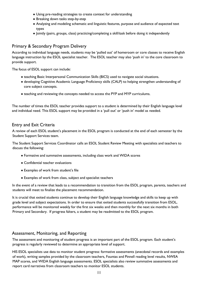- Using pre-reading strategies to create context for understanding
- Breaking down tasks step-by-step
- Analyzing and modeling schematic and linguistic features, purpose and audience of expected text types
- Jointly (pairs, groups, class) practicing/completing a skill/task before doing it independently

## <span id="page-10-0"></span>Primary & Secondary Program Delivery

According to individual language needs, students may be 'pulled out' of homeroom or core classes to receive English language instruction by the ESOL specialist teacher. The ESOL teacher may also 'push in' to the core classroom to provide support.

The focus of ESOL support can include:

- teaching Basic Interpersonal Communication Skills (BICS) used to navigate social situations.
- developing Cognitive Academic Language Proficiency skills (CALP) to helping strengthen understanding of core subject concepts.
- teaching and reviewing the concepts needed to access the PYP and MYP curriculums.

The number of times the ESOL teacher provides support to a student is determined by their English language level and individual need. This ESOL support may be provided in a 'pull out' or 'push in' model as needed.

## <span id="page-10-1"></span>Entry and Exit Criteria

A review of each ESOL student's placement in the ESOL program is conducted at the end of each semester by the Student Support Services team.

The Student Support Services Coordinator calls an ESOL Student Review Meeting with specialists and teachers to discuss the following:

- Formative and summative assessments, including class work and WIDA scores
- Confidential teacher evaluations
- Examples of work from student's file
- Examples of work from class, subject and specialist teachers

In the event of a review that leads to a recommendation to transition from the ESOL program, parents, teachers and students will meet to finalize the placement recommendation.

It is crucial that exited students continue to develop their English language knowledge and skills to keep up with grade level and subject expectations. In order to ensure that exited students successfully transition from ESOL, performance will be monitored weekly for the first six weeks and then monthly for the next six months in both Primary and Secondary. If progress falters, a student may be readmitted to the ESOL program.

## <span id="page-10-2"></span>Assessment, Monitoring, and Reporting

The assessment and monitoring of student progress is an important part of the ESOL program. Each student's progress is regularly reviewed to determine an appropriate level of support.

HIS ESOL specialists use data to monitor student progress: formative assessments (anecdotal records and examples of work), writing samples provided by the classroom teachers, Fountas and Pinnell reading level results, NWEA MAP scores, and WIDA English language assessments. ESOL specialists also review summative assessments and report card narratives from classroom teachers to monitor ESOL students.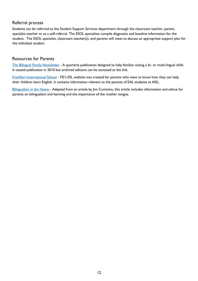## <span id="page-11-0"></span>Referral process

Students can be referred to the Student Support Services department through the classroom teacher, parent, specialist teacher or as a self-referral. The ESOL specialists compile diagnostic and baseline information for the student. The ESOL specialist, classroom teacher(s), and parents will meet to discuss an appropriate support plan for the individual student.

## <span id="page-11-1"></span>Resources for Parents

[The Bilingual Family Newsletter](http://www.bilingualfamilynewsletter.com/archives.php) - A quarterly publication designed to help families raising a bi- or multi-lingual child. It ceased publication in 2010 but archived editions can be accessed at the link.

[Frankfurt International School](http://esl.fis.edu/parents/) - FIS's ESL website was created for parents who want to know how they can help their children learn English. It contains information relevant to the parents of EAL students at AISL.

[Bilingualism in the Home](http://www.scribd.com/doc/13297158/Effects-of-Bilingualism) - Adapted from an article by Jim Cummins, this article includes information and advice for parents on bilingualism and learning and the importance of the mother tongue.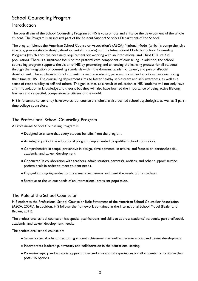# <span id="page-12-0"></span>School Counseling Program

## Introduction

The overall aim of the School Counseling Program at HIS is to promote and enhance the development of the whole student. The Program is an integral part of the Student Support Services Department of the School.

The program blends the American School Counselor Association's (ASCA) National Model (which is comprehensive in scope, preventative in design, developmental in nature) and the International Model for School Counseling Programs (which adds the necessary requirement for working with an international and Third Culture Kid population). There is a significant focus on the pastoral care component of counseling. In addition, the school counseling program supports the vision of HIS by promoting and enhancing the learning process for all students through the integration of counseling standards within the domains: academic, career, and personal/social development. The emphasis is for all students to realize academic, personal, social, and emotional success during their time at HIS. The counseling department aims to foster healthy self-esteem and self-awareness, as well as a sense of responsibility to self and others. The goal is that, as a result of education at HIS, students will not only have a firm foundation in knowledge and theory, but they will also have learned the importance of being active lifelong learners and respectful, compassionate citizens of the world.

HIS is fortunate to currently have two school counselors who are also trained school psychologists as well as 2 parttime college counselors.

## <span id="page-12-1"></span>The Professional School Counseling Program

A Professional School Counseling Program is:

- Designed to ensure that every student benefits from the program.
- An integral part of the educational program, implemented by qualified school counselors.
- Comprehensive in scope, preventive in design, developmental in nature, and focuses on personal/social, academic, and career development.
- Conducted in collaboration with teachers, administrators, parents/guardians, and other support service professionals in order to meet student needs.
- Engaged in on-going evaluation to assess effectiveness and meet the needs of the students.
- Sensitive to the unique needs of an international, transient population.

## <span id="page-12-2"></span>The Role of the School Counselor

HIS endorses the Professional School Counselor Role Statement of the American School Counselor Association (ASCA, 2004b). In addition, HIS follows the framework contained in the International School Model (Fezler and Brown, 2011).

The professional school counselor has special qualifications and skills to address students' academic, personal/social, academic, and career development needs.

The professional school counselor:

- Serves a crucial role in maximizing student achievement as well as personal/social and career development.
- Incorporates leadership, advocacy and collaboration in the educational setting.
- Promotes equity and access to opportunities and educational experiences for all students to maximize their post-HIS options.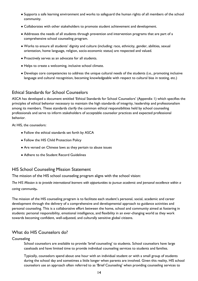- Supports a safe learning environment and works to safeguard the human rights of all members of the school community.
- Collaborates with other stakeholders to promote student achievement and development.
- Addresses the needs of all students through prevention and intervention programs that are part of a comprehensive school counseling program.
- Works to ensure all students' dignity and culture (including: race, ethnicity, gender, abilities, sexual orientation, home language, religion, socio-economic status) are respected and valued.
- Proactively serves as an advocate for all students.
- Helps to create a welcoming, inclusive school climate.
- Develops core competencies to address the unique cultural needs of the students (i.e., promoting inclusive language and cultural recognition, becoming knowledgeable with respect to cultural bias in testing, etc.)

## <span id="page-13-0"></span>Ethical Standards for School Counselors

ASCA has developed a document entitled 'Ethical Standards for School Counselors' (Appendix 1) which specifies the principles of ethical behavior necessary to maintain the high standards of integrity, leadership and professionalism among its members. These standards clarify the common ethical responsibilities held by school counseling professionals and serve to inform stakeholders of acceptable counselor practices and expected professional behavior.

At HIS, the counselors:

- Follow the ethical standards set forth by ASCA
- Follow the HIS Child Protection Policy
- Are versed on Chinese laws as they pertain to abuse issues
- Adhere to the Student Record Guidelines

## <span id="page-13-1"></span>HIS School Counseling Mission Statement

The mission of the HIS school counseling program aligns with the school vision:

*The HIS Mission is to provide international learners with opportunities to pursue academic and personal excellence within a caring community.* 

The mission of the HIS counseling program is to facilitate each student's personal, social, academic and career development through the delivery of a comprehensive and developmental approach to guidance activities and personal counseling. This is a collaborative effort between the home, school and community aimed at fostering in students: personal responsibility, emotional intelligence, and flexibility in an ever-changing world as they work towards becoming confident, well-adjusted, and culturally sensitive global citizens.

## <span id="page-13-2"></span>What do HIS Counselors do?

**Counseling** 

School counselors are available to provide 'brief counseling' to students. School counselors have large caseloads and have limited time to provide individual counseling services to students and families.

Typically, counselors spend about one hour with an individual student or with a small group of students during the school day and sometimes a little longer when parents are involved. Given this reality, HIS school counselors use an approach often referred to as 'Brief Counseling' when providing counseling services to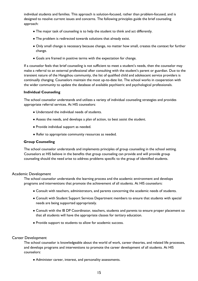individual students and families. This approach is solution-focused, rather than problem-focused, and is designed to resolve current issues and concerns. The following principles guide the brief counseling approach:

- The major task of counseling is to help the student to think and act differently.
- The problem is redirected towards solutions that already exist.
- Only small change is necessary because change, no matter how small, creates the context for further change.
- Goals are framed in positive terms with the expectation for change.

If a counselor feels that brief counseling is not sufficient to meet a student's needs, then the counselor may make a referral to an external professional after consulting with the student's parent or guardian. Due to the transient nature of the Hangzhou community, the list of qualified child and adolescent service providers is continually changing. Counselors maintain the most up-to-date list. The school works in cooperation with the wider community to update the database of available psychiatric and psychological professionals.

#### **Individual Counseling**

The school counselor understands and utilizes a variety of individual counseling strategies and provides appropriate referral services. At HIS counselors:

- Understand the individual needs of students.
- Assess the needs, and develops a plan of action, to best assist the student.
- Provide individual support as needed.
- Refer to appropriate community resources as needed.

#### **Group Counseling**

The school counselor understands and implements principles of group counseling in the school setting. Counselors at HIS believe in the benefits that group counseling can provide and will provide group counseling should the need arise to address problems specific to the group of identified students.

#### Academic Development

The school counselor understands the learning process and the academic environment and develops programs and interventions that promote the achievement of all students. At HIS counselors:

- Consult with teachers, administrators, and parents concerning the academic needs of students.
- Consult with Student Support Services Department members to ensure that students with special needs are being supported appropriately.
- Consult with the IB DP Coordinator, teachers, students and parents to ensure proper placement so that all students will have the appropriate classes for tertiary education.
- Provide support to students to allow for academic success.

#### Career Development

The school counselor is knowledgeable about the world of work, career theories, and related life processes, and develops programs and interventions to promote the career development of all students. At HIS counselors:

● Administer career, interest, and personality assessments.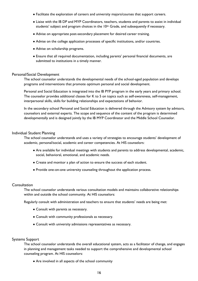- Facilitate the exploration of careers and university majors/courses that support careers.
- Liaise with the IB DP and MYP Coordinators, teachers, students and parents to assist in individual students' subject and program choices in the  $10<sup>th</sup>$  Grade, and subsequently if necessary.
- Advise on appropriate post-secondary placement for desired career training.
- Advise on the college application processes of specific institutions, and/or countries.
- Advise on scholarship programs.
- Ensure that all required documentation, including parents' personal financial documents, are submitted to institutions in a timely manner.

#### Personal/Social Development

The school counselor understands the developmental needs of the school-aged population and develops programs and interventions that promote optimum personal and social development.

Personal and Social Education is integrated into the IB PYP program in the early years and primary school. The counselor provides additional classes for K to 5 on topics such as self-awareness, self-management, interpersonal skills, skills for building relationships and expectations of behavior.

In the secondary school Personal and Social Education is delivered through the Advisory system by advisors, counselors and external experts. The scope and sequence of the content of the program is determined developmentally and is designed jointly by the IB MYP Coordinator and the Middle School Counselor.

#### Individual Student Planning

The school counselor understands and uses a variety of strategies to encourage students' development of academic, personal/social, academic and career competencies. At HIS counselors:

- Are available for individual meetings with students and parents to address developmental, academic, social, behavioral, emotional, and academic needs.
- Create and monitor a plan of action to ensure the success of each student.
- Provide one-on-one university counseling throughout the application process.

#### **Consultation**

The school counselor understands various consultation models and maintains collaborative relationships within and outside the school community. At HIS counselors:

Regularly consult with administration and teachers to ensure that students' needs are being met:

- Consult with parents as necessary.
- Consult with community professionals as necessary.
- Consult with university admissions representatives as necessary.

#### Systems Support

The school counselor understands the overall educational system, acts as a facilitator of change, and engages in planning and management tasks needed to support the comprehensive and developmental school counseling program. At HIS counselors:

• Are involved in all aspects of the school community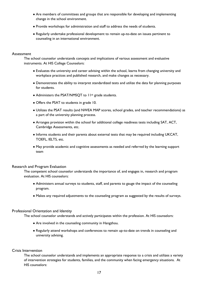- Are members of committees and groups that are responsible for developing and implementing change in the school environment.
- Provide workshops for administration and staff to address the needs of students.
- Regularly undertake professional development to remain up-to-date on issues pertinent to counseling in an international environment.

#### **Assessment**

The school counselor understands concepts and implications of various assessment and evaluative instruments. At HIS College Counselors:

- Evaluates the university and career advising within the school, learns from changing university and workplace practices and published research, and make changes as necessary.
- Demonstrates the ability to interpret standardized tests and utilize the data for planning purposes for students.
- Administers the PSAT/NMSQT to 11<sup>th</sup> grade students.
- Offers the PSAT to students in grade 10.
- Utilizes the PSAT results (and NWEA MAP scores, school grades, and teacher recommendations) as a part of the university planning process.
- Arranges provision within the school for additional college readiness tests including SAT, ACT, Cambridge Assessments, etc.
- Informs students and their parents about external tests that may be required including UKCAT, TOEFL, IELTS, etc.
- May provide academic and cognitive assessments as needed and referred by the learning support team

#### Research and Program Evaluation

The competent school counselor understands the importance of, and engages in, research and program evaluation. At HIS counselors:

- Administers annual surveys to students, staff, and parents to gauge the impact of the counseling program.
- Makes any required adjustments to the counseling program as suggested by the results of surveys.

#### Professional Orientation and Identity

The school counselor understands and actively participates within the profession. At HIS counselors:

- Are involved in the counseling community in Hangzhou.
- Regularly attend workshops and conferences to remain up-to-date on trends in counseling and university advising.

#### Crisis Intervention

The school counselor understands and implements an appropriate response to a crisis and utilizes a variety of intervention strategies for students, families, and the community when facing emergency situations. At HIS counselors: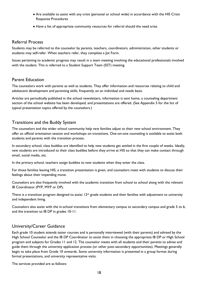- Are available to assist with any crisis (personal or school wide) in accordance with the HIS Crisis Response Procedures
- Have a list of appropriate community resources for referral should the need arise.

## <span id="page-17-0"></span>Referral Process

Students may be referred to the counselor by parents, teachers, coordinators, administration, other students or students may self-refer. When teachers refer, they complete a Jot Form.

Issues pertaining to academic progress may result in a team meeting involving the educational professionals involved with the student. This is referred to a Student Support Team (SST) meeting.

## <span id="page-17-1"></span>Parent Education

The counselors work with parents as well as students. They offer information and resources relating to child and adolescent development and parenting skills, frequently on an individual and needs basis.

Articles are periodically published in the school newsletters, information is sent home, a counseling department section of the school website has been developed, and presentations are offered. (See Appendix 5 for the list of typical presentation topics offered by the counselors.)

## <span id="page-17-2"></span>Transitions and the Buddy System

The counselors and the wider school community help new families adjust to their new school environment. They offer an official orientation session and workshops on transitions. One-on-one counseling is available to assist both students and parents with the transition process.

In secondary school, class buddies are identified to help new students get settled in the first couple of weeks. Ideally, new students are introduced to their class buddies before they arrive at HIS so that they can make contact through email, social media, etc.

In the primary school, teachers assign buddies to new students when they enter the class.

For those families leaving HIS, a transition presentation is given, and counselors meet with students to discuss their feelings about their impending move.

Counselors are also frequently involved with the academic transition from school to school along with the relevant IB Coordinator (PYP, MYP or DP).

There is a transition program designed to assist 12<sup>th</sup> grade students and their families with adjustment to university and independent living.

Counselors also assist with the in-school transitions from elementary campus to secondary campus and grade 5 to 6, and the transition to IB DP in grades 10-11.

## <span id="page-17-3"></span>University/Career Guidance

Each grade 10 student attends taster courses and is personally interviewed (with their parents) and advised by the High School Counselor and the IB DP Coordinator to assist them in choosing the appropriate IB DP or High School program and subjects for Grades 11 and 12. The counselor meets with all students and their parents to advise and guide them through the university application process (or other post-secondary opportunities). Meetings generally begin to take place from Grade 10 onwards. Some university information is presented in a group format during formal presentations, and university representative visits.

The services provided are as follows: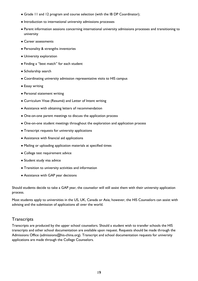- Grade 11 and 12 program and course selection (with the IB DP Coordinator);
- Introduction to international university admissions processes
- Parent information sessions concerning international university admissions processes and transitioning to university
- Career assessments
- Personality & strengths inventories
- University exploration
- Finding a "best match" for each student
- Scholarship search
- Coordinating university admission representative visits to HIS campus
- Essay writing
- Personal statement writing
- Curriculum Vitae (Resumé) and Letter of Intent writing
- Assistance with obtaining letters of recommendation
- One-on-one parent meetings to discuss the application process
- One-on-one student meetings throughout the exploration and application process
- Transcript requests for university applications
- Assistance with financial aid applications
- Mailing or uploading application materials at specified times
- College test requirement advice
- Student study visa advice
- Transition to university activities and information
- Assistance with GAP year decisions

Should students decide to take a GAP year, the counselor will still assist them with their university application process.

Most students apply to universities in the US, UK, Canada or Asia; however, the HIS Counselors can assist with advising and the submission of applications all over the world.

### <span id="page-18-0"></span>**Transcripts**

Transcripts are produced by the upper school counselors. Should a student wish to transfer schools the HIS transcripts and other school documentation are available upon request. Requests should be made through the Admissions Office (admissions@his-china.org). Transcript and school documentation requests for university applications are made through the College Counselors.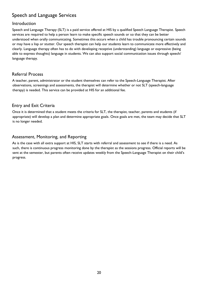# <span id="page-19-0"></span>Speech and Language Services

## <span id="page-19-1"></span>Introduction

Speech and Language Therapy (SLT) is a paid service offered at HIS by a qualified Speech Language Therapist. Speech services are required to help a person learn to make specific speech sounds or so that they can be better understood when orally communicating. Sometimes this occurs when a child has trouble pronouncing certain sounds or may have a lisp or stutter. Our speech therapist can help our students learn to communicate more effectively and clearly. Language therapy often has to do with developing receptive (understanding) language or expressive (being able to express thoughts) language in students. We can also support social communication issues through speech/ language therapy.

## <span id="page-19-2"></span>Referral Process

A teacher, parent, administrator or the student themselves can refer to the Speech-Language Therapist. After observations, screenings and assessments, the therapist will determine whether or not SLT (speech-language therapy) is needed. This service can be provided at HIS for an additional fee.

## <span id="page-19-3"></span>Entry and Exit Criteria

Once it is determined that a student meets the criteria for SLT, the therapist, teacher, parents and students (if appropriate) will develop a plan and determine appropriate goals. Once goals are met, the team may decide that SLT is no longer needed.

## <span id="page-19-4"></span>Assessment, Monitoring, and Reporting

As is the case with all extra support at HIS, SLT starts with referral and assessment to see if there is a need. As such, there is continuous progress monitoring done by the therapist as the sessions progress. Official reports will be sent at the semester, but parents often receive updates weekly from the Speech-Language Therapist on their child's progress.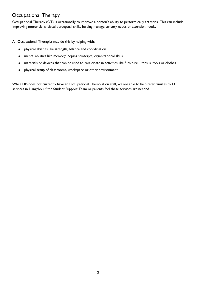## <span id="page-20-0"></span>Occupational Therapy

Occupational Therapy (OT) is occasionally to improve a person's ability to perform daily activities. This can include improving motor skills, visual perceptual skills, helping manage sensory needs or attention needs.

An Occupational Therapist may do this by helping with:

- physical abilities like strength, balance and coordination
- mental abilities like memory, coping strategies, organizational skills
- materials or devices that can be used to participate in activities like furniture, utensils, tools or clothes
- physical setup of classrooms, workspace or other environment

While HIS does not currently have an Occupational Therapist on staff, we are able to help refer families to OT services in Hangzhou if the Student Support Team or parents feel these services are needed.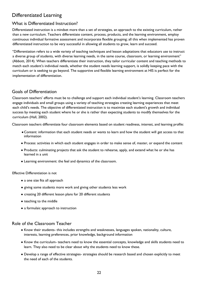## <span id="page-21-0"></span>Differentiated Learning

## <span id="page-21-1"></span>What is Differentiated Instruction?

Differentiated instruction is a mindset more than a set of strategies, an approach to the existing curriculum, rather than a new curriculum. Teachers differentiate content, process, products, and the learning environment, employ continuous individual formative assessment and incorporate flexible grouping; all this when implemented has proven differentiated instruction to be very successful in allowing all students to grow, learn and succeed.

"Differentiation refers to a wide variety of teaching techniques and lesson adaptations that educators use to instruct a diverse group of students, with diverse learning needs, in the same course, classroom, or learning environment" (Abbott, 2014). When teachers differentiate their instruction, they tailor curricular content and teaching methods to match each student's individual needs, whether the student needs learning support, is solidly keeping pace with the curriculum or is seeking to go beyond. The supportive and flexible learning environment at HIS is perfect for the implementation of differentiation.

## <span id="page-21-2"></span>Goals of Differentiation

Classroom teachers' efforts must be to challenge and support each individual student's learning. Classroom teachers engage individuals and small groups using a variety of teaching strategies creating learning experiences that meet each child's needs. The objective of differentiated instruction is to maximize each student's growth and individual success by meeting each student where he or she is rather than expecting students to modify themselves for the curriculum (Hall, 2002).

Classroom teachers differentiate four classroom elements based on student readiness, interest, and learning profile:

- ●Content: information that each student needs or wants to learn and how the student will get access to that information
- Process: activities in which each student engages in order to make sense of, master, or expand the content
- Products: culminating projects that ask the student to rehearse, apply, and extend what he or she has learned in a unit
- Learning environment: the feel and dynamics of the classroom.

#### Effective Differentiation is not

- a one size fits all approach
- giving some students more work and giving other students less work
- creating 20 different lesson plans for 20 different students
- teaching to the middle
- a formulaic approach to instruction

#### <span id="page-21-3"></span>Role of the Classroom Teacher

- Know their students- this includes strengths and weaknesses, languages spoken, nationality, culture, interests, learning preferences, prior knowledge, background information
- Know the curriculum- teachers need to know the essential concepts, knowledge and skills students need to learn. They also need to be clear about why the students need to know these.
- Develop a range of effective strategies- strategies should be research based and chosen explicitly to meet the need of each of the students.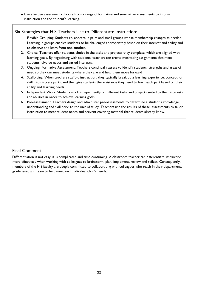● Use effective assessment- choose from a range of formative and summative assessments to inform instruction and the student's learning.

## <span id="page-22-0"></span>Six Strategies that HIS Teachers Use to Differentiate Instruction:

- 1. Flexible Grouping: Students collaborate in pairs and small groups whose membership changes as needed. Learning in groups enables students to be challenged appropriately based on their interest and ability and to observe and learn from one another.
- 2. Choice: Teachers offer students choice in the tasks and projects they complete, which are aligned with learning goals. By negotiating with students, teachers can create motivating assignments that meet students' diverse needs and varied interests.
- 3. Ongoing, Formative Assessment: Teachers continually assess to identify students' strengths and areas of need so they can meet students where they are and help them move forward
- 4. Scaffolding: When teachers scaffold instruction, they typically break up a learning experience, concept, or skill into discrete parts, and then give students the assistance they need to learn each part based on their ability and learning needs.
- 5. Independent Work: Students work independently on different tasks and projects suited to their interests and abilities in order to achieve learning goals.
- 6. Pre-Assessment: Teachers design and administer pre-assessments to determine a student's knowledge, understanding and skill prior to the unit of study. Teachers use the results of these, assessments to tailor instruction to meet student needs and prevent covering material that students already know.

## <span id="page-22-1"></span>Final Comment

Differentiation is not easy; it is complicated and time consuming. A classroom teacher can differentiate instruction more effectively when working with colleagues to brainstorm, plan, implement, review and reflect. Consequently, members of the HIS faculty are deeply committed to collaborating with colleagues who teach in their department, grade level, and team to help meet each individual child's needs.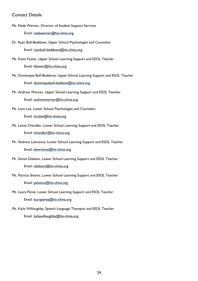## <span id="page-23-0"></span>Contact Details

- Ms. Nada Werner, Director of Student Support Services Email: nadawerner@his-china.org
- Dr. Ryan Bull-Beddows, Upper School Psychologist and Counselor Email: ryanbull-beddows@his-china.org
- Ms. Katie Foster, Upper School Learning Support and ESOL Teacher Email: kfoster@his-china.org
- Ms. Dominique Bull-Beddows, Upper School Learning Support and ESOL Teacher Email: dominiquebull-beddow@his-china.org
- Mr. Andrew Werner, Upper School Learning Support and ESOL Teacher Email: andrewwerner@his-china.org
- Ms. Lora Lee, Lower School Psychologist and Counselor Email: loralee@his-china.org
- Ms. Lainie Chandler, Lower School Learning Support and ESOL Teacher Email: lchandler@his-china.org
- Mr. Andrew Lawrence, Lower School Learning Support and ESOL Teacher Email: alawrence@his-china.org
- Mr. Simon Dobson, Lower School Learning Support and ESOL Teacher Email: sdobson@his-china.org
- Ms. Patricia Shomo, Lower School Learning Support and ESOL Teacher Email: pshomo@his-china.org
- Ms. Laura Perez, Lower School Learning Support and ESOL Teacher Email: lauraperez@his-china.org
- Ms. Kylie Willoughby, Speech Language Therapist and ESOL Teacher Email: kyliewilloughby@his-china.org